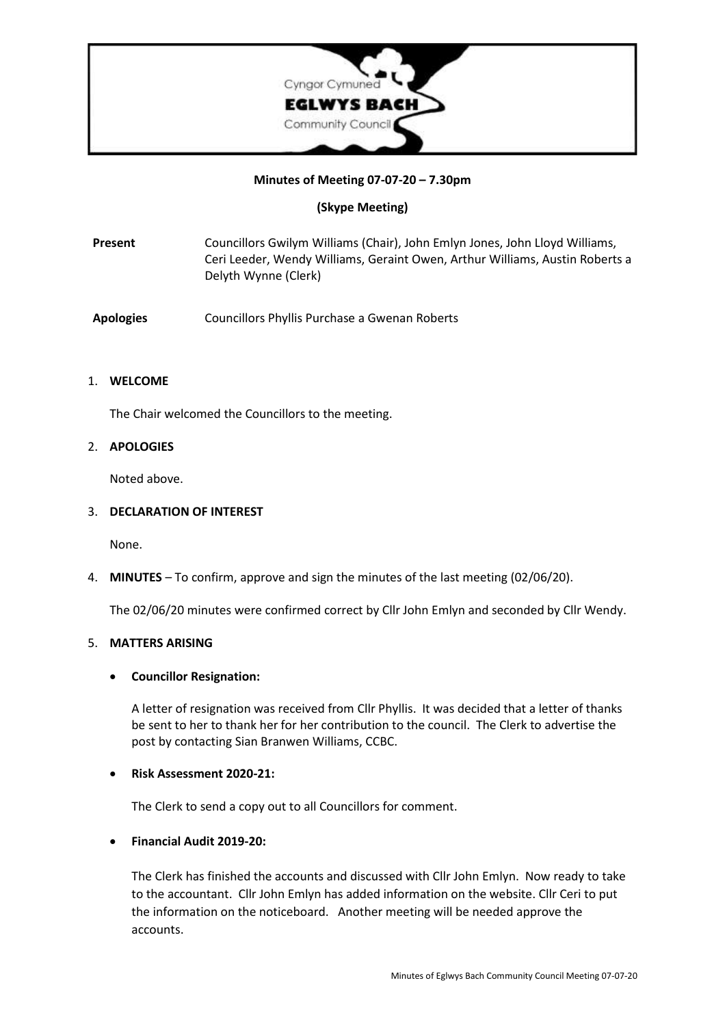

## **Minutes of Meeting 07-07-20 – 7.30pm**

# **(Skype Meeting)**

**Present** Councillors Gwilym Williams (Chair), John Emlyn Jones, John Lloyd Williams, Ceri Leeder, Wendy Williams, Geraint Owen, Arthur Williams, Austin Roberts a Delyth Wynne (Clerk)

**Apologies** Councillors Phyllis Purchase a Gwenan Roberts

## 1. **WELCOME**

The Chair welcomed the Councillors to the meeting.

# 2. **APOLOGIES**

Noted above.

## 3. **DECLARATION OF INTEREST**

None.

4. **MINUTES** – To confirm, approve and sign the minutes of the last meeting (02/06/20).

The 02/06/20 minutes were confirmed correct by Cllr John Emlyn and seconded by Cllr Wendy.

## 5. **MATTERS ARISING**

## • **Councillor Resignation:**

A letter of resignation was received from Cllr Phyllis. It was decided that a letter of thanks be sent to her to thank her for her contribution to the council. The Clerk to advertise the post by contacting Sian Branwen Williams, CCBC.

## • **Risk Assessment 2020-21:**

The Clerk to send a copy out to all Councillors for comment.

## • **Financial Audit 2019-20:**

The Clerk has finished the accounts and discussed with Cllr John Emlyn. Now ready to take to the accountant. Cllr John Emlyn has added information on the website. Cllr Ceri to put the information on the noticeboard. Another meeting will be needed approve the accounts.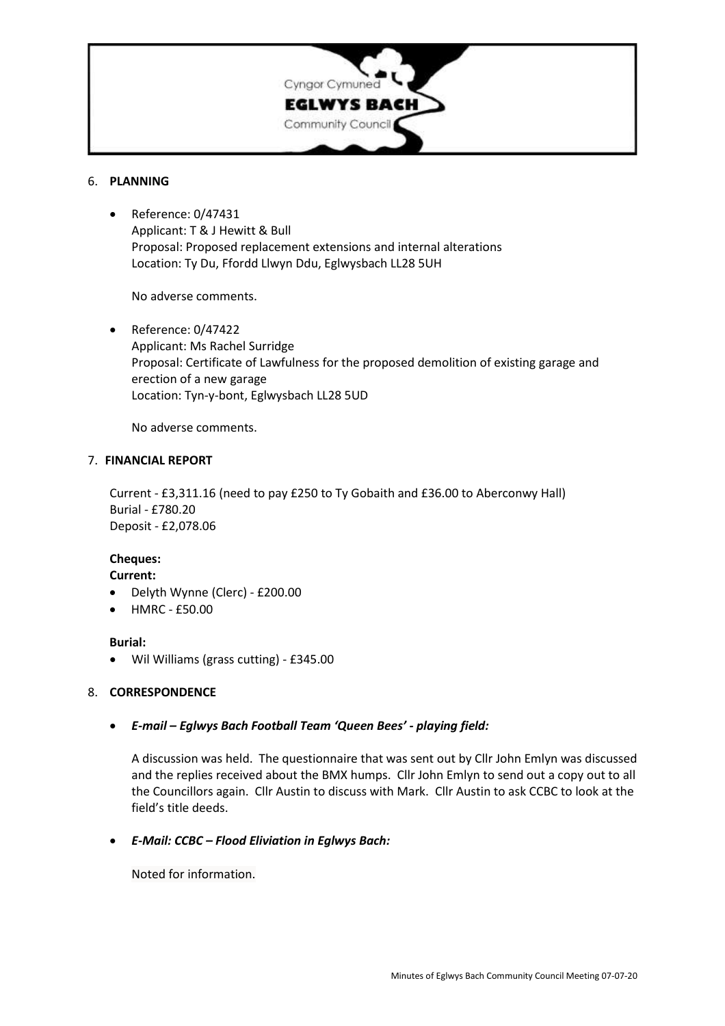

### 6. **PLANNING**

• Reference: 0/47431 Applicant: T & J Hewitt & Bull Proposal: Proposed replacement extensions and internal alterations Location: Ty Du, Ffordd Llwyn Ddu, Eglwysbach LL28 5UH

No adverse comments.

• Reference: 0/47422 Applicant: Ms Rachel Surridge Proposal: Certificate of Lawfulness for the proposed demolition of existing garage and erection of a new garage Location: Tyn-y-bont, Eglwysbach LL28 5UD

No adverse comments.

### 7. **FINANCIAL REPORT**

Current - £3,311.16 (need to pay £250 to Ty Gobaith and £36.00 to Aberconwy Hall) Burial - £780.20 Deposit - £2,078.06

# **Cheques:**

**Current:**

- Delyth Wynne (Clerc) £200.00
- HMRC £50.00

### **Burial:**

• Wil Williams (grass cutting) - £345.00

## 8. **CORRESPONDENCE**

## • *E-mail – Eglwys Bach Football Team 'Queen Bees' - playing field:*

A discussion was held. The questionnaire that was sent out by Cllr John Emlyn was discussed and the replies received about the BMX humps. Cllr John Emlyn to send out a copy out to all the Councillors again. Cllr Austin to discuss with Mark. Cllr Austin to ask CCBC to look at the field's title deeds.

## • *E-Mail: CCBC – Flood Eliviation in Eglwys Bach:*

Noted for information.